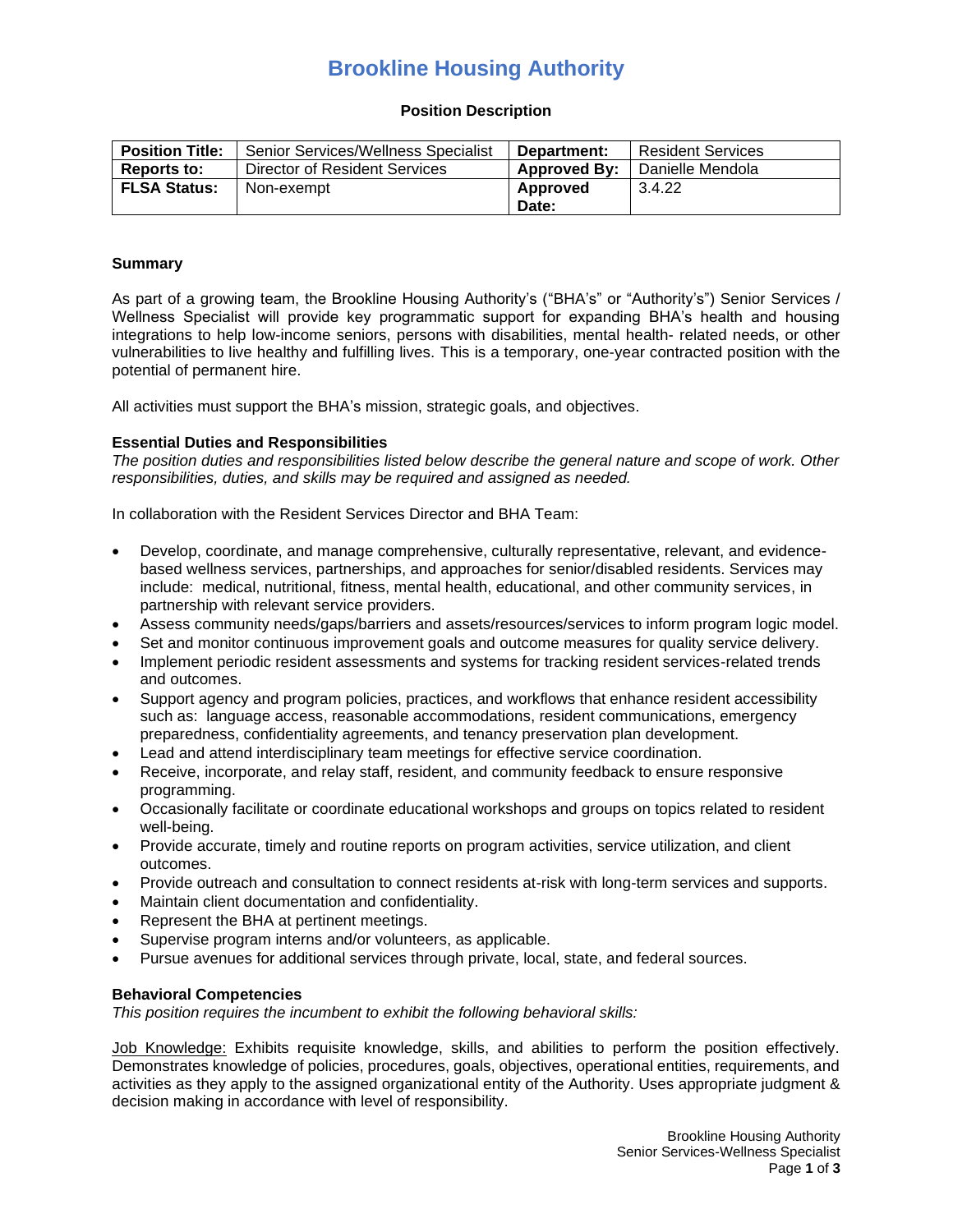## **Brookline Housing Authority**

#### **Position Description**

| <b>Position Title:</b> | Senior Services/Wellness Specialist | Department:         | <b>Resident Services</b> |
|------------------------|-------------------------------------|---------------------|--------------------------|
| Reports to:            | Director of Resident Services       | <b>Approved By:</b> | l Danielle Mendola       |
| <b>FLSA Status:</b>    | Non-exempt                          | Approved            | 3.4.22                   |
|                        |                                     | Date:               |                          |

#### **Summary**

As part of a growing team, the Brookline Housing Authority's ("BHA's" or "Authority's") Senior Services / Wellness Specialist will provide key programmatic support for expanding BHA's health and housing integrations to help low-income seniors, persons with disabilities, mental health- related needs, or other vulnerabilities to live healthy and fulfilling lives. This is a temporary, one-year contracted position with the potential of permanent hire.

All activities must support the BHA's mission, strategic goals, and objectives.

#### **Essential Duties and Responsibilities**

*The position duties and responsibilities listed below describe the general nature and scope of work. Other responsibilities, duties, and skills may be required and assigned as needed.*

In collaboration with the Resident Services Director and BHA Team:

- Develop, coordinate, and manage comprehensive, culturally representative, relevant, and evidencebased wellness services, partnerships, and approaches for senior/disabled residents. Services may include: medical, nutritional, fitness, mental health, educational, and other community services, in partnership with relevant service providers.
- Assess community needs/gaps/barriers and assets/resources/services to inform program logic model.
- Set and monitor continuous improvement goals and outcome measures for quality service delivery.
- Implement periodic resident assessments and systems for tracking resident services-related trends and outcomes.
- Support agency and program policies, practices, and workflows that enhance resident accessibility such as: language access, reasonable accommodations, resident communications, emergency preparedness, confidentiality agreements, and tenancy preservation plan development.
- Lead and attend interdisciplinary team meetings for effective service coordination.
- Receive, incorporate, and relay staff, resident, and community feedback to ensure responsive programming.
- Occasionally facilitate or coordinate educational workshops and groups on topics related to resident well-being.
- Provide accurate, timely and routine reports on program activities, service utilization, and client outcomes.
- Provide outreach and consultation to connect residents at-risk with long-term services and supports.
- Maintain client documentation and confidentiality.
- Represent the BHA at pertinent meetings.
- Supervise program interns and/or volunteers, as applicable.
- Pursue avenues for additional services through private, local, state, and federal sources.

#### **Behavioral Competencies**

*This position requires the incumbent to exhibit the following behavioral skills:*

Job Knowledge: Exhibits requisite knowledge, skills, and abilities to perform the position effectively. Demonstrates knowledge of policies, procedures, goals, objectives, operational entities, requirements, and activities as they apply to the assigned organizational entity of the Authority. Uses appropriate judgment & decision making in accordance with level of responsibility.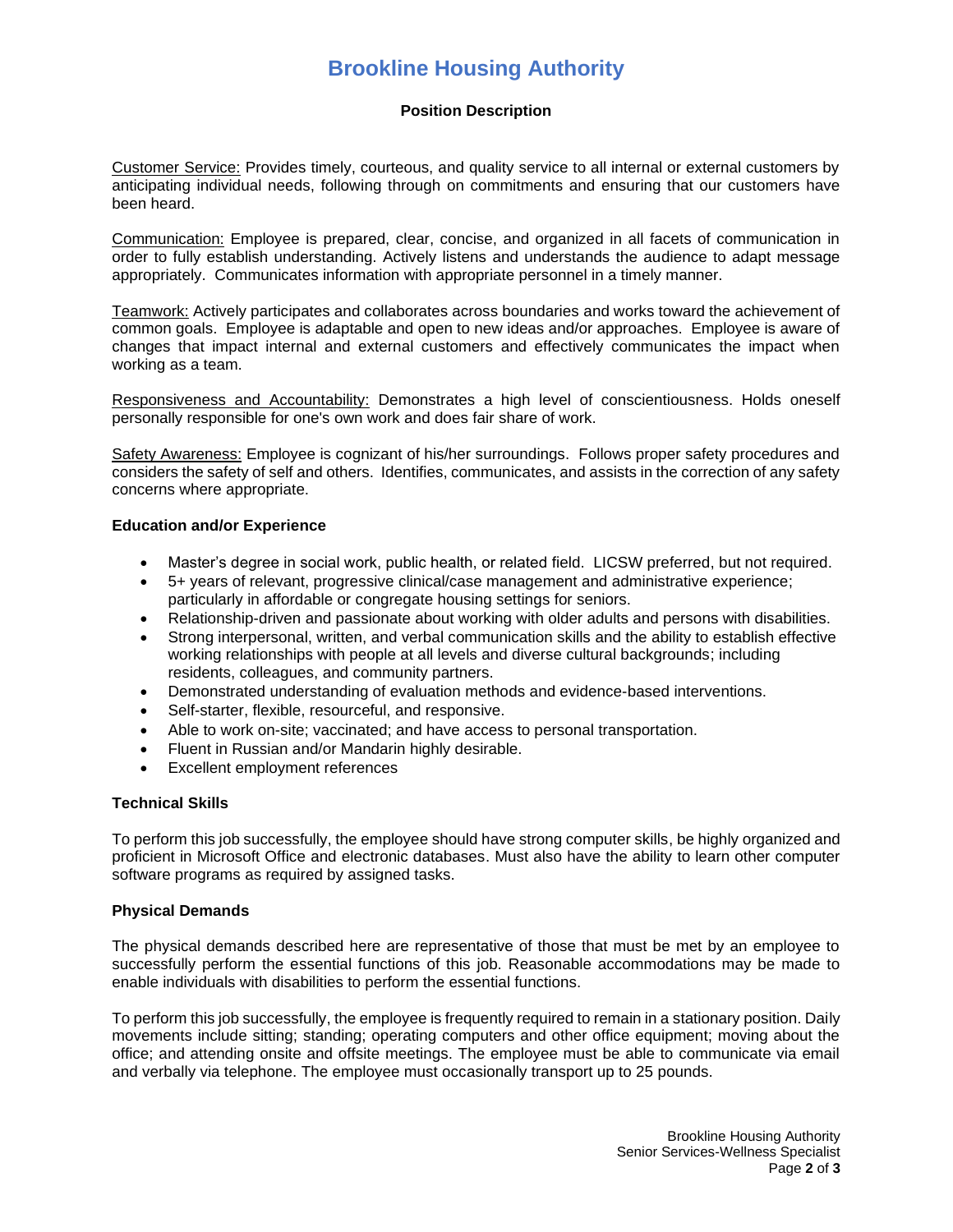## **Brookline Housing Authority**

## **Position Description**

Customer Service: Provides timely, courteous, and quality service to all internal or external customers by anticipating individual needs, following through on commitments and ensuring that our customers have been heard.

Communication: Employee is prepared, clear, concise, and organized in all facets of communication in order to fully establish understanding. Actively listens and understands the audience to adapt message appropriately. Communicates information with appropriate personnel in a timely manner.

Teamwork: Actively participates and collaborates across boundaries and works toward the achievement of common goals. Employee is adaptable and open to new ideas and/or approaches. Employee is aware of changes that impact internal and external customers and effectively communicates the impact when working as a team.

Responsiveness and Accountability: Demonstrates a high level of conscientiousness. Holds oneself personally responsible for one's own work and does fair share of work.

Safety Awareness: Employee is cognizant of his/her surroundings. Follows proper safety procedures and considers the safety of self and others. Identifies, communicates, and assists in the correction of any safety concerns where appropriate.

#### **Education and/or Experience**

- Master's degree in social work, public health, or related field. LICSW preferred, but not required.
- 5+ years of relevant, progressive clinical/case management and administrative experience; particularly in affordable or congregate housing settings for seniors.
- Relationship-driven and passionate about working with older adults and persons with disabilities.
- Strong interpersonal, written, and verbal communication skills and the ability to establish effective working relationships with people at all levels and diverse cultural backgrounds; including residents, colleagues, and community partners.
- Demonstrated understanding of evaluation methods and evidence-based interventions.
- Self-starter, flexible, resourceful, and responsive.
- Able to work on-site; vaccinated; and have access to personal transportation.
- Fluent in Russian and/or Mandarin highly desirable.
- Excellent employment references

#### **Technical Skills**

To perform this job successfully, the employee should have strong computer skills, be highly organized and proficient in Microsoft Office and electronic databases. Must also have the ability to learn other computer software programs as required by assigned tasks.

#### **Physical Demands**

The physical demands described here are representative of those that must be met by an employee to successfully perform the essential functions of this job. Reasonable accommodations may be made to enable individuals with disabilities to perform the essential functions.

To perform this job successfully, the employee is frequently required to remain in a stationary position. Daily movements include sitting; standing; operating computers and other office equipment; moving about the office; and attending onsite and offsite meetings. The employee must be able to communicate via email and verbally via telephone. The employee must occasionally transport up to 25 pounds.